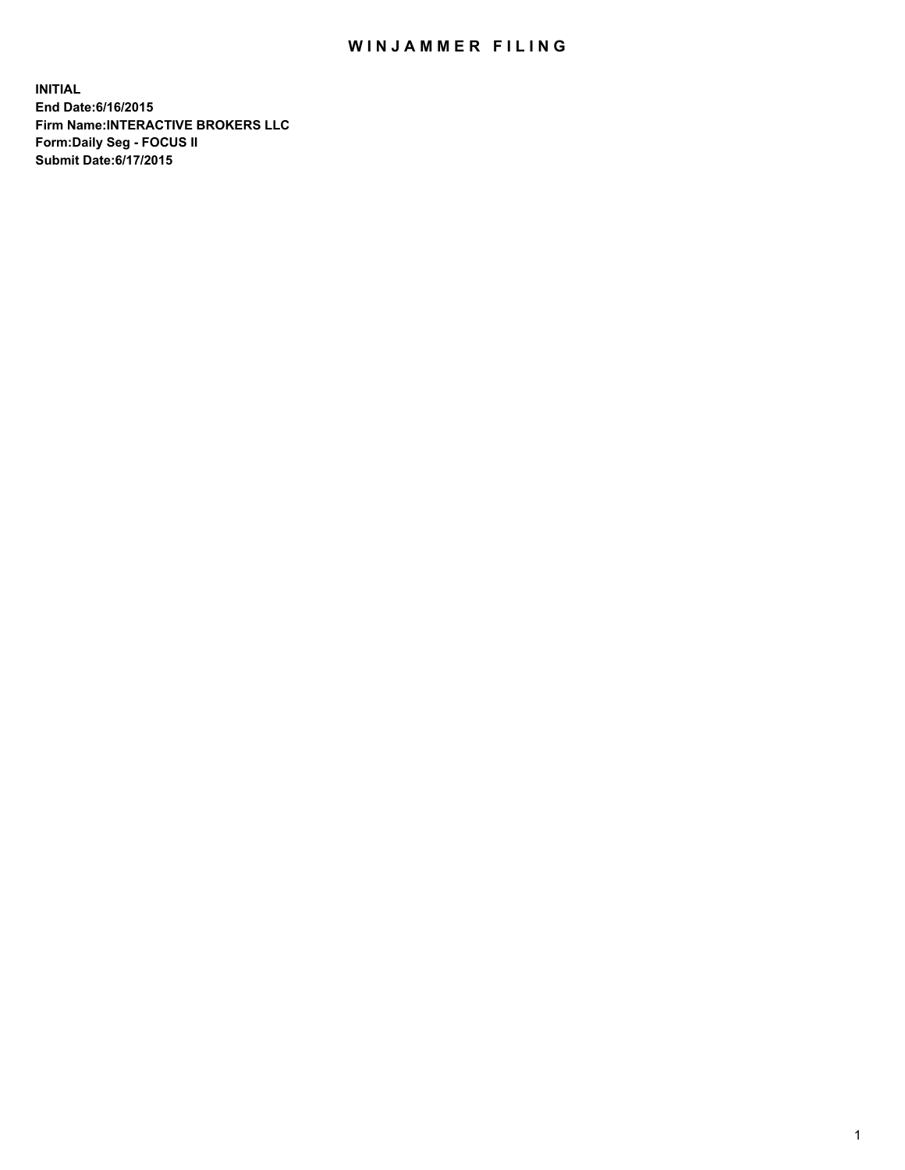## WIN JAMMER FILING

**INITIAL End Date:6/16/2015 Firm Name:INTERACTIVE BROKERS LLC Form:Daily Seg - FOCUS II Submit Date:6/17/2015**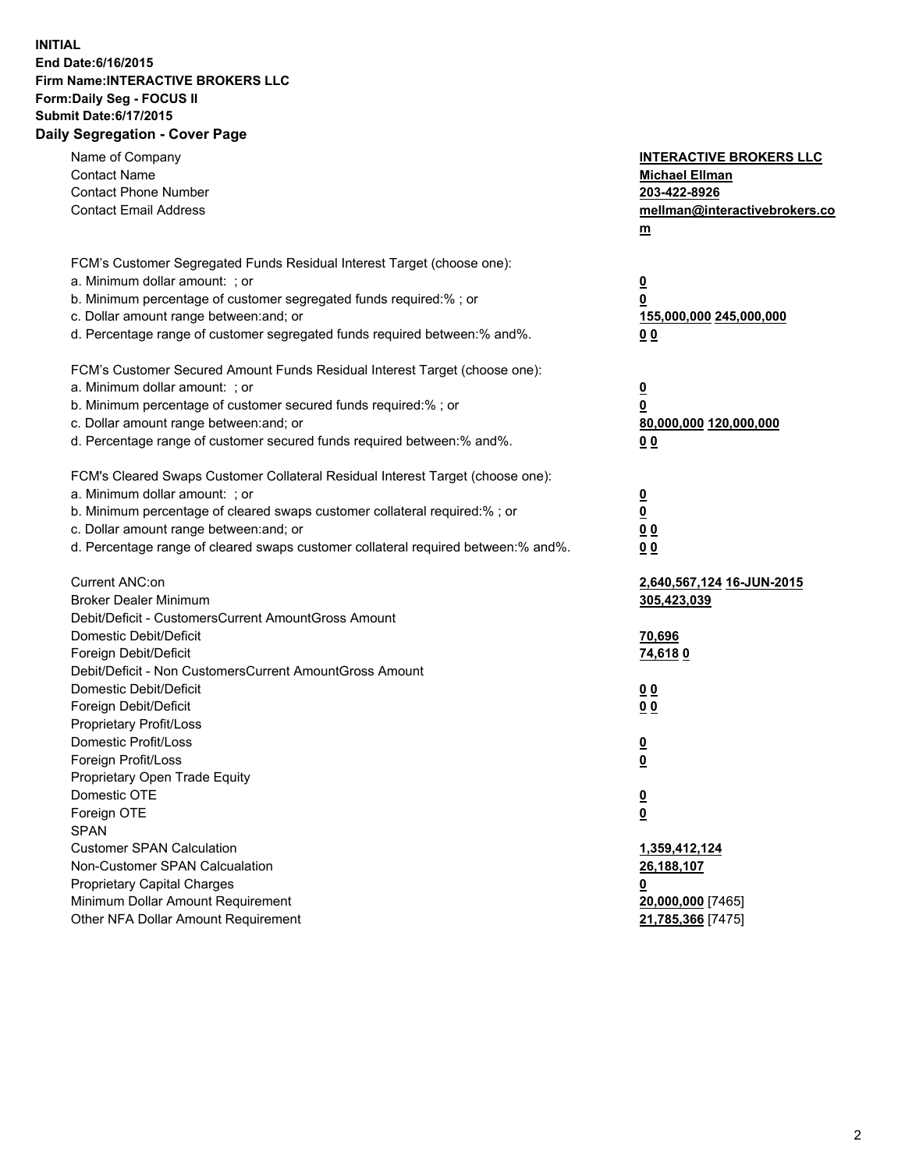## **INITIAL End Date:6/16/2015 Firm Name:INTERACTIVE BROKERS LLC Form:Daily Seg - FOCUS II Submit Date:6/17/2015 Daily Segregation - Cover Page**

| Name of Company<br><b>Contact Name</b><br><b>Contact Phone Number</b><br><b>Contact Email Address</b>                                                                                                                                                                                                                          | <b>INTERACTIVE BROKERS LLC</b><br><b>Michael Ellman</b><br>203-422-8926<br>mellman@interactivebrokers.co<br>$m$ |
|--------------------------------------------------------------------------------------------------------------------------------------------------------------------------------------------------------------------------------------------------------------------------------------------------------------------------------|-----------------------------------------------------------------------------------------------------------------|
| FCM's Customer Segregated Funds Residual Interest Target (choose one):<br>a. Minimum dollar amount: ; or<br>b. Minimum percentage of customer segregated funds required:% ; or<br>c. Dollar amount range between: and; or<br>d. Percentage range of customer segregated funds required between:% and%.                         | <u>0</u><br><u>0</u><br>155,000,000 245,000,000<br>0 <sub>0</sub>                                               |
| FCM's Customer Secured Amount Funds Residual Interest Target (choose one):<br>a. Minimum dollar amount: ; or<br>b. Minimum percentage of customer secured funds required:% ; or<br>c. Dollar amount range between: and; or<br>d. Percentage range of customer secured funds required between:% and%.                           | <u>0</u><br>0<br>80,000,000 120,000,000<br>0 <sub>0</sub>                                                       |
| FCM's Cleared Swaps Customer Collateral Residual Interest Target (choose one):<br>a. Minimum dollar amount: ; or<br>b. Minimum percentage of cleared swaps customer collateral required:% ; or<br>c. Dollar amount range between: and; or<br>d. Percentage range of cleared swaps customer collateral required between:% and%. | $\overline{\mathbf{0}}$<br>$\underline{\mathbf{0}}$<br>0 <sub>0</sub><br>0 <sub>0</sub>                         |
| Current ANC:on<br><b>Broker Dealer Minimum</b><br>Debit/Deficit - CustomersCurrent AmountGross Amount<br>Domestic Debit/Deficit<br>Foreign Debit/Deficit                                                                                                                                                                       | 2,640,567,124 16-JUN-2015<br>305,423,039<br>70,696<br>74,6180                                                   |
| Debit/Deficit - Non CustomersCurrent AmountGross Amount<br>Domestic Debit/Deficit<br>Foreign Debit/Deficit<br>Proprietary Profit/Loss<br>Domestic Profit/Loss<br>Foreign Profit/Loss                                                                                                                                           | 0 <sub>0</sub><br>00<br><u>0</u><br><u>0</u>                                                                    |
| Proprietary Open Trade Equity<br>Domestic OTE<br>Foreign OTE<br><b>SPAN</b><br><b>Customer SPAN Calculation</b>                                                                                                                                                                                                                | <u>0</u><br><u>0</u><br>1,359,412,124                                                                           |
| Non-Customer SPAN Calcualation<br><b>Proprietary Capital Charges</b><br>Minimum Dollar Amount Requirement<br>Other NFA Dollar Amount Requirement                                                                                                                                                                               | 26,188,107<br><u>0</u><br>20,000,000 [7465]<br>21,785,366 [7475]                                                |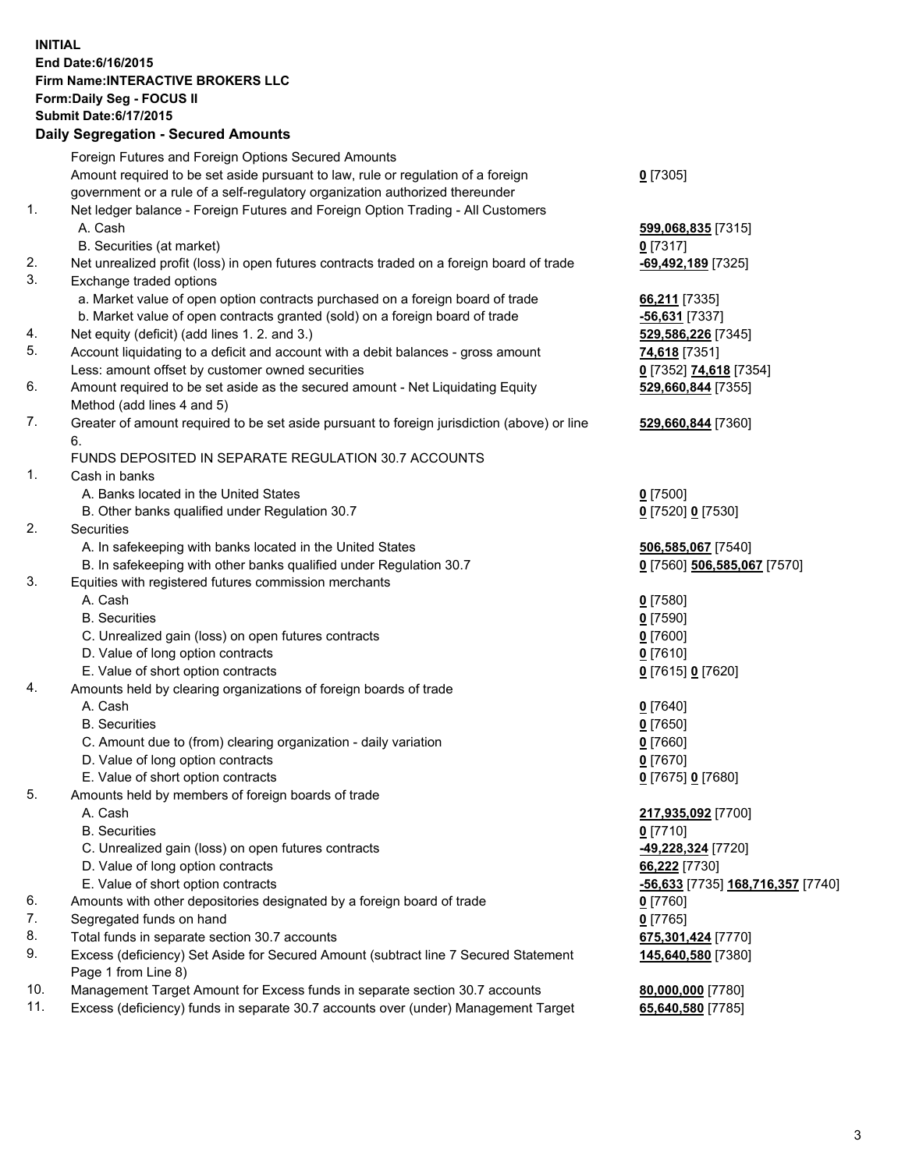## **INITIAL End Date:6/16/2015 Firm Name:INTERACTIVE BROKERS LLC Form:Daily Seg - FOCUS II Submit Date:6/17/2015 Daily Segregation - Secured Amounts**

|     | Dany Ocgregation - Oceanea Annoanta                                                         |                                   |
|-----|---------------------------------------------------------------------------------------------|-----------------------------------|
|     | Foreign Futures and Foreign Options Secured Amounts                                         |                                   |
|     | Amount required to be set aside pursuant to law, rule or regulation of a foreign            | $0$ [7305]                        |
|     | government or a rule of a self-regulatory organization authorized thereunder                |                                   |
| 1.  | Net ledger balance - Foreign Futures and Foreign Option Trading - All Customers             |                                   |
|     | A. Cash                                                                                     | 599,068,835 [7315]                |
|     | B. Securities (at market)                                                                   | $0$ [7317]                        |
| 2.  | Net unrealized profit (loss) in open futures contracts traded on a foreign board of trade   | -69,492,189 [7325]                |
| 3.  | Exchange traded options                                                                     |                                   |
|     | a. Market value of open option contracts purchased on a foreign board of trade              | 66,211 [7335]                     |
|     | b. Market value of open contracts granted (sold) on a foreign board of trade                | -56,631 [7337]                    |
| 4.  | Net equity (deficit) (add lines 1.2. and 3.)                                                | 529,586,226 [7345]                |
| 5.  | Account liquidating to a deficit and account with a debit balances - gross amount           | <b>74,618</b> [7351]              |
|     | Less: amount offset by customer owned securities                                            | 0 [7352] 74,618 [7354]            |
| 6.  | Amount required to be set aside as the secured amount - Net Liquidating Equity              | 529,660,844 [7355]                |
|     | Method (add lines 4 and 5)                                                                  |                                   |
| 7.  | Greater of amount required to be set aside pursuant to foreign jurisdiction (above) or line | 529,660,844 [7360]                |
|     | 6.                                                                                          |                                   |
|     | FUNDS DEPOSITED IN SEPARATE REGULATION 30.7 ACCOUNTS                                        |                                   |
| 1.  | Cash in banks                                                                               |                                   |
|     | A. Banks located in the United States                                                       | $0$ [7500]                        |
|     | B. Other banks qualified under Regulation 30.7                                              | 0 [7520] 0 [7530]                 |
| 2.  | Securities                                                                                  |                                   |
|     | A. In safekeeping with banks located in the United States                                   | 506,585,067 [7540]                |
|     | B. In safekeeping with other banks qualified under Regulation 30.7                          | 0 [7560] 506,585,067 [7570]       |
| 3.  | Equities with registered futures commission merchants                                       |                                   |
|     | A. Cash                                                                                     | $0$ [7580]                        |
|     | <b>B.</b> Securities                                                                        | $0$ [7590]                        |
|     | C. Unrealized gain (loss) on open futures contracts                                         | $0$ [7600]                        |
|     | D. Value of long option contracts                                                           | $0$ [7610]                        |
|     | E. Value of short option contracts                                                          | 0 [7615] 0 [7620]                 |
| 4.  | Amounts held by clearing organizations of foreign boards of trade                           |                                   |
|     | A. Cash                                                                                     | $0$ [7640]                        |
|     | <b>B.</b> Securities                                                                        | $0$ [7650]                        |
|     | C. Amount due to (from) clearing organization - daily variation                             | $0$ [7660]                        |
|     | D. Value of long option contracts                                                           | $0$ [7670]                        |
|     | E. Value of short option contracts                                                          | 0 [7675] 0 [7680]                 |
| 5.  | Amounts held by members of foreign boards of trade                                          |                                   |
|     | A. Cash                                                                                     | 217,935,092 [7700]                |
|     | <b>B.</b> Securities                                                                        | $0$ [7710]                        |
|     | C. Unrealized gain (loss) on open futures contracts                                         | 49,228,324 [7720]                 |
|     | D. Value of long option contracts                                                           | 66,222 [7730]                     |
|     | E. Value of short option contracts                                                          | -56,633 [7735] 168,716,357 [7740] |
| 6.  | Amounts with other depositories designated by a foreign board of trade                      | $0$ [7760]                        |
| 7.  | Segregated funds on hand                                                                    | $0$ [7765]                        |
| 8.  | Total funds in separate section 30.7 accounts                                               | 675,301,424 [7770]                |
| 9.  | Excess (deficiency) Set Aside for Secured Amount (subtract line 7 Secured Statement         | 145,640,580 [7380]                |
|     | Page 1 from Line 8)                                                                         |                                   |
| 10. | Management Target Amount for Excess funds in separate section 30.7 accounts                 | 80,000,000 [7780]                 |
| 11. | Excess (deficiency) funds in separate 30.7 accounts over (under) Management Target          | 65,640,580 [7785]                 |
|     |                                                                                             |                                   |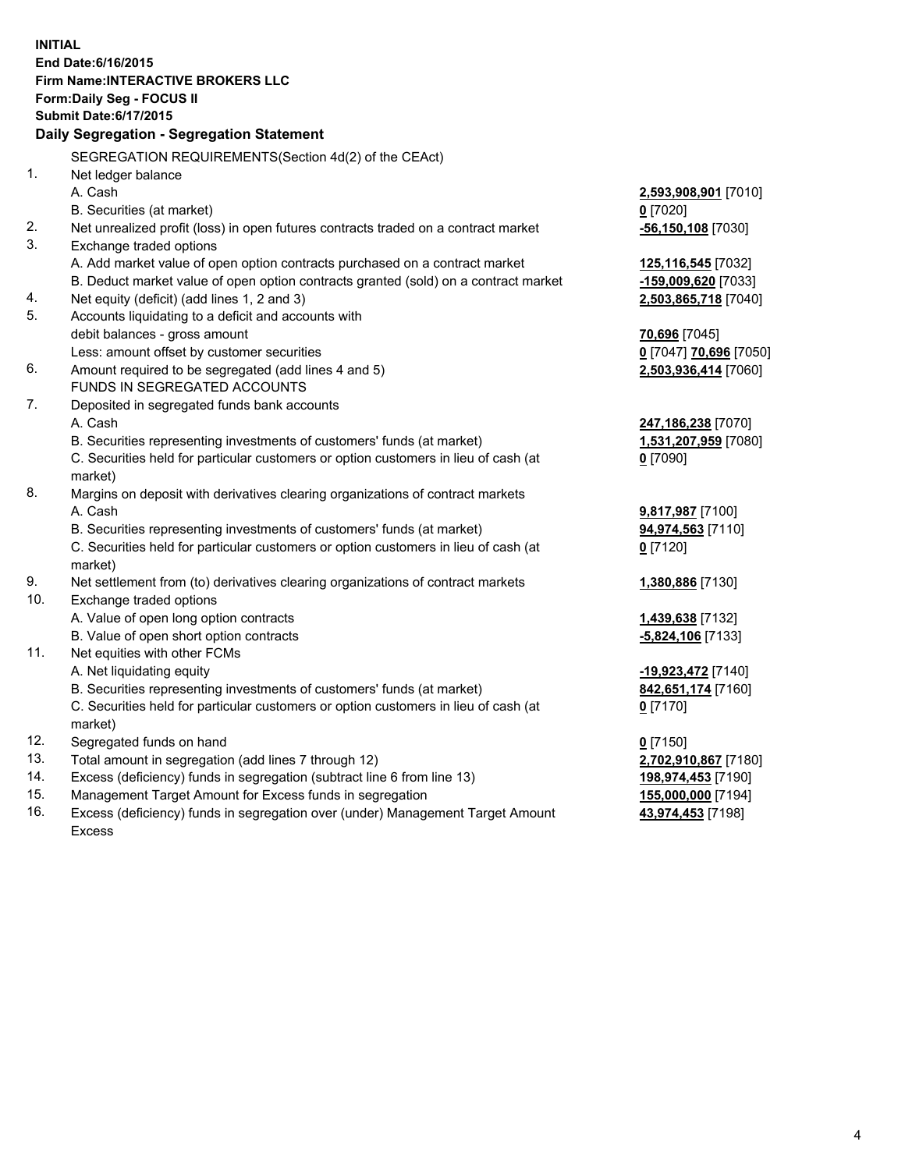**INITIAL End Date:6/16/2015 Firm Name:INTERACTIVE BROKERS LLC Form:Daily Seg - FOCUS II Submit Date:6/17/2015 Daily Segregation - Segregation Statement** SEGREGATION REQUIREMENTS(Section 4d(2) of the CEAct) 1. Net ledger balance A. Cash **2,593,908,901** [7010] B. Securities (at market) **0** [7020] 2. Net unrealized profit (loss) in open futures contracts traded on a contract market **-56,150,108** [7030] 3. Exchange traded options A. Add market value of open option contracts purchased on a contract market **125,116,545** [7032] B. Deduct market value of open option contracts granted (sold) on a contract market **-159,009,620** [7033] 4. Net equity (deficit) (add lines 1, 2 and 3) **2,503,865,718** [7040] 5. Accounts liquidating to a deficit and accounts with debit balances - gross amount **70,696** [7045] Less: amount offset by customer securities **0** [7047] **70,696** [7050] 6. Amount required to be segregated (add lines 4 and 5) **2,503,936,414** [7060] FUNDS IN SEGREGATED ACCOUNTS 7. Deposited in segregated funds bank accounts A. Cash **247,186,238** [7070] B. Securities representing investments of customers' funds (at market) **1,531,207,959** [7080] C. Securities held for particular customers or option customers in lieu of cash (at market) **0** [7090] 8. Margins on deposit with derivatives clearing organizations of contract markets A. Cash **9,817,987** [7100] B. Securities representing investments of customers' funds (at market) **94,974,563** [7110] C. Securities held for particular customers or option customers in lieu of cash (at market) **0** [7120] 9. Net settlement from (to) derivatives clearing organizations of contract markets **1,380,886** [7130] 10. Exchange traded options A. Value of open long option contracts **1,439,638** [7132] B. Value of open short option contracts **-5,824,106** [7133] 11. Net equities with other FCMs A. Net liquidating equity **-19,923,472** [7140] B. Securities representing investments of customers' funds (at market) **842,651,174** [7160] C. Securities held for particular customers or option customers in lieu of cash (at market) **0** [7170] 12. Segregated funds on hand **0** [7150] 13. Total amount in segregation (add lines 7 through 12) **2,702,910,867** [7180] 14. Excess (deficiency) funds in segregation (subtract line 6 from line 13) **198,974,453** [7190] 15. Management Target Amount for Excess funds in segregation **155,000,000** [7194]

16. Excess (deficiency) funds in segregation over (under) Management Target Amount Excess

**43,974,453** [7198]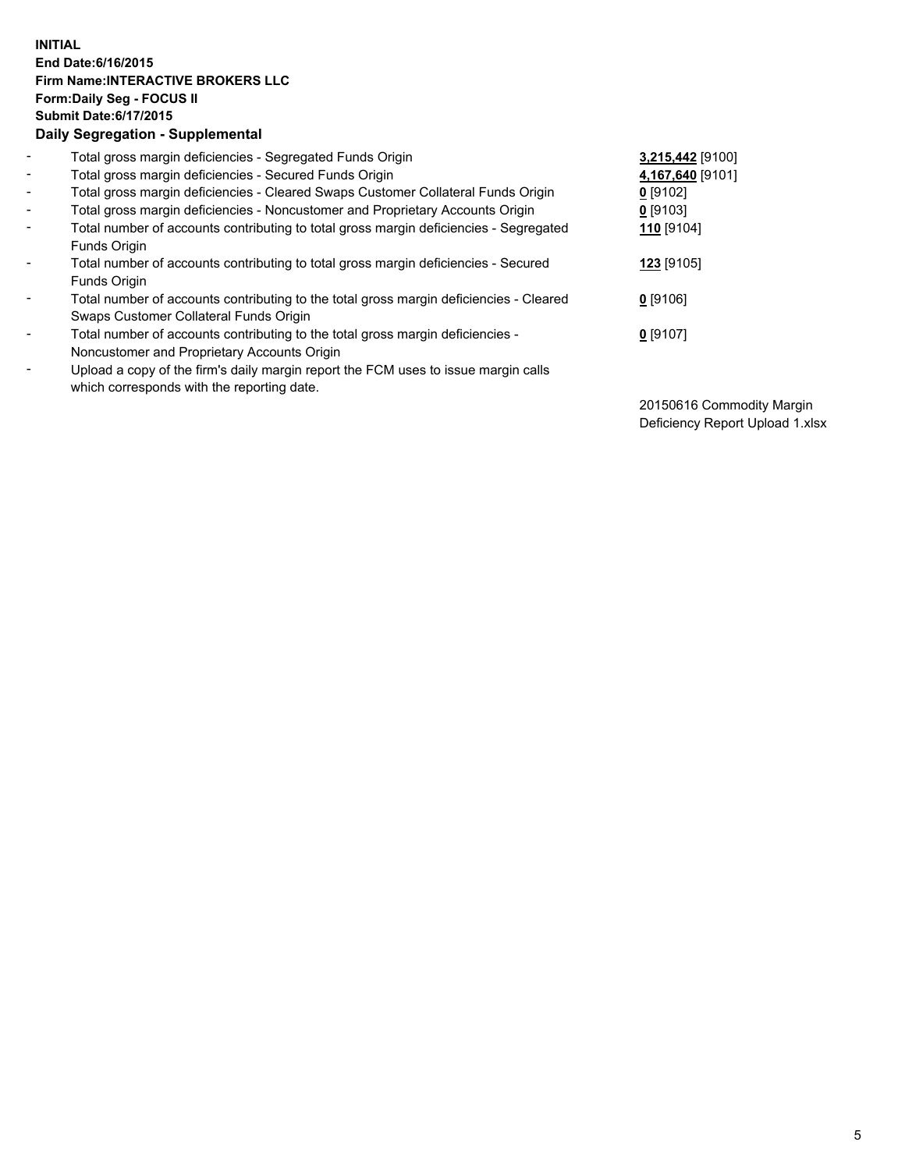## **INITIAL End Date:6/16/2015 Firm Name:INTERACTIVE BROKERS LLC Form:Daily Seg - FOCUS II Submit Date:6/17/2015 Daily Segregation - Supplemental**

| $\blacksquare$           | Total gross margin deficiencies - Segregated Funds Origin                              | 3,215,442 [9100]      |
|--------------------------|----------------------------------------------------------------------------------------|-----------------------|
| $\overline{\phantom{a}}$ | Total gross margin deficiencies - Secured Funds Origin                                 | 4,167,640 [9101]      |
| $\blacksquare$           | Total gross margin deficiencies - Cleared Swaps Customer Collateral Funds Origin       | $0$ [9102]            |
| $\blacksquare$           | Total gross margin deficiencies - Noncustomer and Proprietary Accounts Origin          | $0$ [9103]            |
| $\blacksquare$           | Total number of accounts contributing to total gross margin deficiencies - Segregated  | 110 <sub>[9104]</sub> |
|                          | Funds Origin                                                                           |                       |
| $\blacksquare$           | Total number of accounts contributing to total gross margin deficiencies - Secured     | 123 [9105]            |
|                          | Funds Origin                                                                           |                       |
| $\overline{\phantom{a}}$ | Total number of accounts contributing to the total gross margin deficiencies - Cleared | $0$ [9106]            |
|                          | Swaps Customer Collateral Funds Origin                                                 |                       |
| $\overline{\phantom{a}}$ | Total number of accounts contributing to the total gross margin deficiencies -         | $0$ [9107]            |
|                          | Noncustomer and Proprietary Accounts Origin                                            |                       |
| $\overline{\phantom{a}}$ | Upload a copy of the firm's daily margin report the FCM uses to issue margin calls     |                       |
|                          | which corresponds with the reporting date.                                             |                       |

20150616 Commodity Margin Deficiency Report Upload 1.xlsx